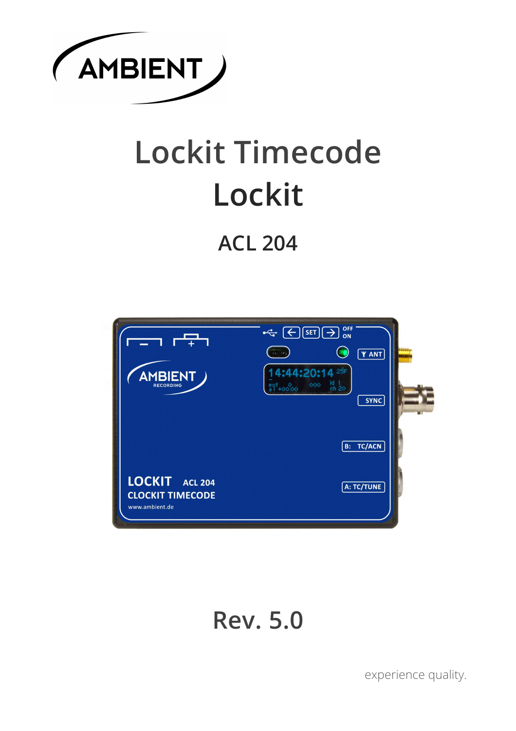

# **Lockit Timecode Lockit**

## **ACL 204**



## **Rev. 5.0**

experience quality.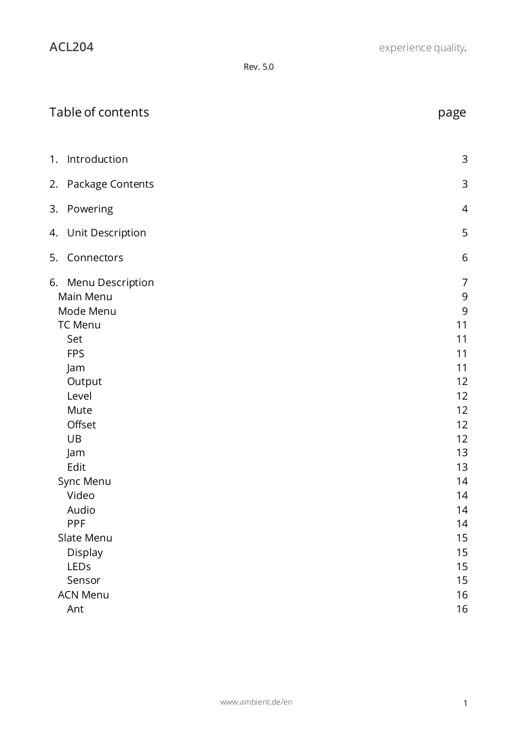| page                                                                                                 |
|------------------------------------------------------------------------------------------------------|
| 3                                                                                                    |
| $\mathsf 3$                                                                                          |
| $\overline{4}$                                                                                       |
| 5                                                                                                    |
| 6                                                                                                    |
| $\overline{7}$<br>$\mathsf 9$<br>9<br>11<br>11<br>11<br>11<br>12<br>12<br>12<br>12<br>12<br>13<br>13 |
| 14<br>14<br>14<br>14<br>15<br>15<br>15<br>15<br>16<br>16                                             |
|                                                                                                      |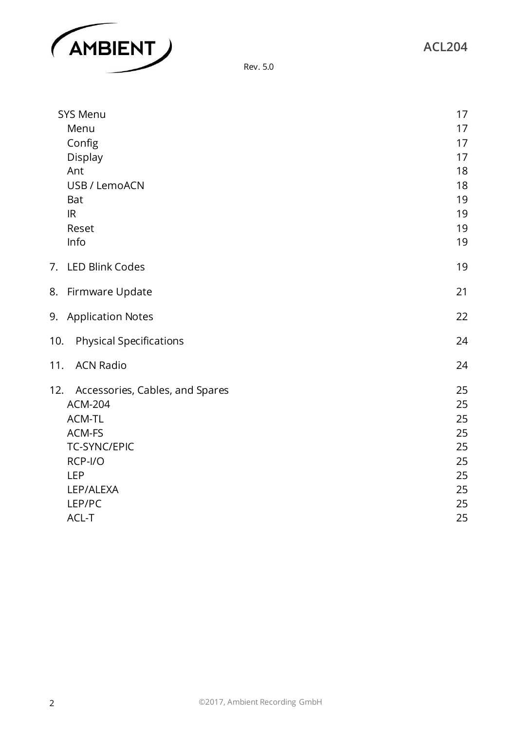



| <b>SYS Menu</b>                        | 17       |
|----------------------------------------|----------|
| Menu                                   | 17       |
| Config                                 | 17       |
| <b>Display</b>                         | 17       |
| Ant                                    | 18       |
| USB / LemoACN                          | 18       |
| <b>Bat</b>                             | 19       |
| IR                                     | 19       |
| Reset                                  | 19       |
| Info                                   | 19       |
| 7. LED Blink Codes                     | 19       |
| 8. Firmware Update                     | 21       |
| 9. Application Notes                   | 22       |
| 10.<br><b>Physical Specifications</b>  | 24       |
| 11.<br><b>ACN Radio</b>                | 24       |
| 12.<br>Accessories, Cables, and Spares | 25       |
| <b>ACM-204</b>                         | 25       |
| ACM-TL                                 | 25       |
| ACM-FS                                 | 25       |
| <b>TC-SYNC/EPIC</b>                    | 25       |
| RCP-I/O                                | 25       |
| <b>LEP</b>                             | 25       |
| LEP/ALEXA                              | 25       |
| LEP/PC<br>ACL-T                        | 25<br>25 |
|                                        |          |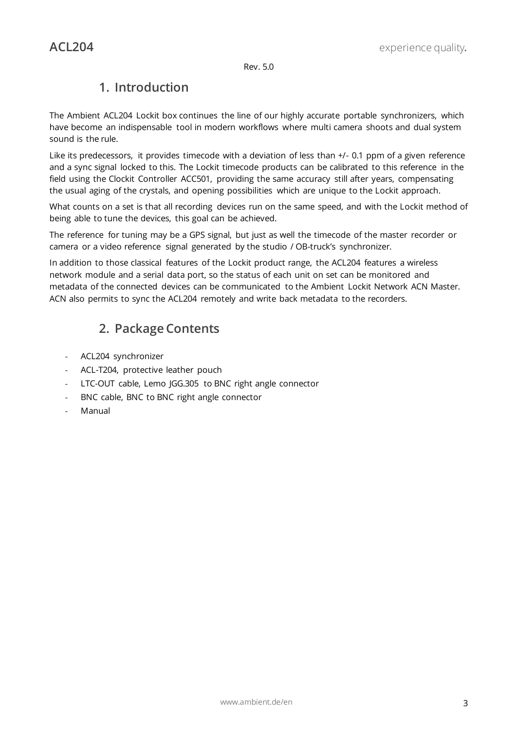## **1. Introduction**

<span id="page-3-0"></span>The Ambient ACL204 Lockit box continues the line of our highly accurate portable synchronizers, which have become an indispensable tool in modern workflows where multi camera shoots and dual system sound is the rule.

Like its predecessors, it provides timecode with a deviation of less than +/- 0.1 ppm of a given reference and a sync signal locked to this. The Lockit timecode products can be calibrated to this reference in the field using the Clockit Controller ACC501, providing the same accuracy still after years, compensating the usual aging of the crystals, and opening possibilities which are unique to the Lockit approach.

What counts on a set is that all recording devices run on the same speed, and with the Lockit method of being able to tune the devices, this goal can be achieved.

The reference for tuning may be a GPS signal, but just as well the timecode of the master recorder or camera or a video reference signal generated by the studio / OB-truck's synchronizer.

<span id="page-3-1"></span>In addition to those classical features of the Lockit product range, the ACL204 features a wireless network module and a serial data port, so the status of each unit on set can be monitored and metadata of the connected devices can be communicated to the Ambient Lockit Network ACN Master. ACN also permits to sync the ACL204 remotely and write back metadata to the recorders.

## **2. Package Contents**

- ACL204 synchronizer
- ACL-T204, protective leather pouch
- LTC-OUT cable, Lemo JGG.305 to BNC right angle connector
- BNC cable, BNC to BNC right angle connector
- **Manual**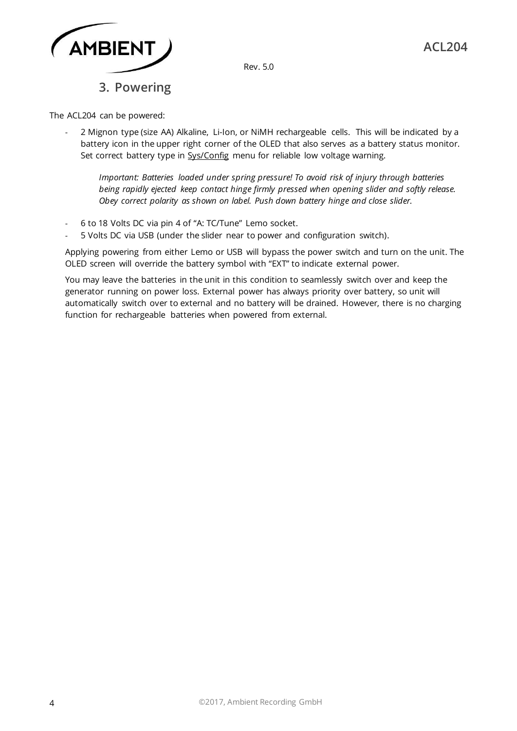

## **3. Powering**

<span id="page-4-0"></span>The ACL204 can be powered:

2 Mignon type (size AA) Alkaline, Li-Ion, or NiMH rechargeable cells. This will be indicated by a battery icon in the upper right corner of the OLED that also serves as a battery status monitor. Set correct battery type in Sys/Config menu for reliable low voltage warning.

*Important: Batteries loaded under spring pressure! To avoid risk of injury through batteries being rapidly ejected keep contact hinge firmly pressed when opening slider and softly release. Obey correct polarity as shown on label. Push down battery hinge and close slider.* 

- 6 to 18 Volts DC via pin 4 of "A: TC/Tune" Lemo socket.
- 5 Volts DC via USB (under the slider near to power and configuration switch).

Applying powering from either Lemo or USB will bypass the power switch and turn on the unit. The OLED screen will override the battery symbol with "EXT" to indicate external power.

You may leave the batteries in the unit in this condition to seamlessly switch over and keep the generator running on power loss. External power has always priority over battery, so unit will automatically switch over to external and no battery will be drained. However, there is no charging function for rechargeable batteries when powered from external.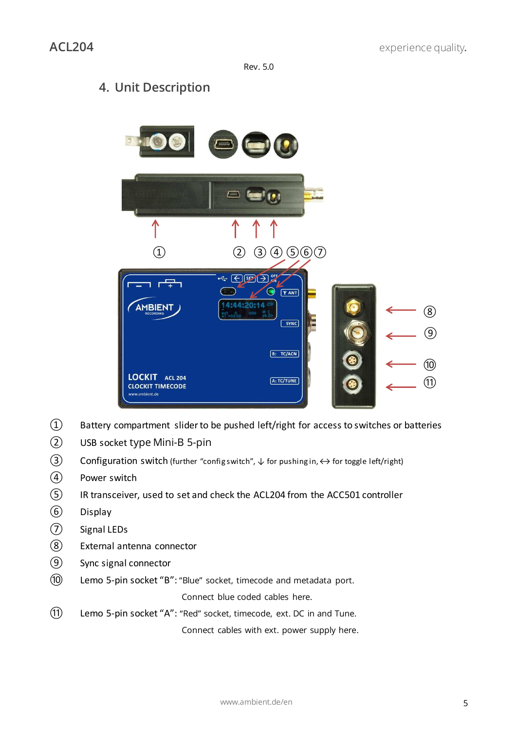## <span id="page-5-0"></span>**4. Unit Description**



- ༃ Battery compartment slider to be pushed left/right for access to switches or batteries
- ༄ USB socket type Mini-B 5-pin
- **3** Configuration switch (further "configswitch",  $\downarrow$  for pushing in,  $\leftrightarrow$  for toggle left/right)
- ༆ Power switch
- ༇ IR transceiver, used to set and check the ACL204 from the ACC501 controller
- ༈ Display
- ༉ Signal LEDs
- ༊ External antenna connector
- **(9)** Sync signal connector
- **10** Lemo 5-pin socket "B": "Blue" socket, timecode and metadata port.

Connect blue coded cables here.

(1) Lemo 5-pin socket "A": "Red" socket, timecode, ext. DC in and Tune.

Connect cables with ext. power supply here.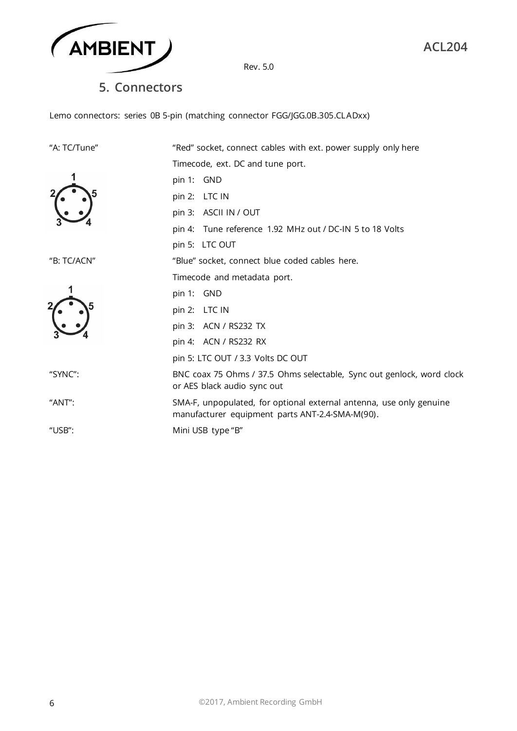

**5. Connectors** 

<span id="page-6-0"></span>Lemo connectors: series 0B 5-pin (matching connector FGG/JGG.0B.305.CLADxx)

| "A: TC/Tune" | "Red" socket, connect cables with ext. power supply only here                                                          |
|--------------|------------------------------------------------------------------------------------------------------------------------|
|              | Timecode, ext. DC and tune port.                                                                                       |
|              | pin 1: GND                                                                                                             |
|              | pin 2: LTC IN                                                                                                          |
|              | pin 3: ASCII IN / OUT                                                                                                  |
|              | pin 4: Tune reference 1.92 MHz out / DC-IN 5 to 18 Volts                                                               |
|              | pin 5: LTC OUT                                                                                                         |
| "B: TC/ACN"  | "Blue" socket, connect blue coded cables here.                                                                         |
|              | Timecode and metadata port.                                                                                            |
|              | pin 1: GND                                                                                                             |
|              | pin 2: LTC IN                                                                                                          |
|              | pin 3: ACN / RS232 TX                                                                                                  |
|              | pin 4: ACN / RS232 RX                                                                                                  |
|              | pin 5: LTC OUT / 3.3 Volts DC OUT                                                                                      |
| "SYNC":      | BNC coax 75 Ohms / 37.5 Ohms selectable, Sync out genlock, word clock<br>or AES black audio sync out                   |
| "ANT":       | SMA-F, unpopulated, for optional external antenna, use only genuine<br>manufacturer equipment parts ANT-2.4-SMA-M(90). |
| "USB":       | Mini USB type "B"                                                                                                      |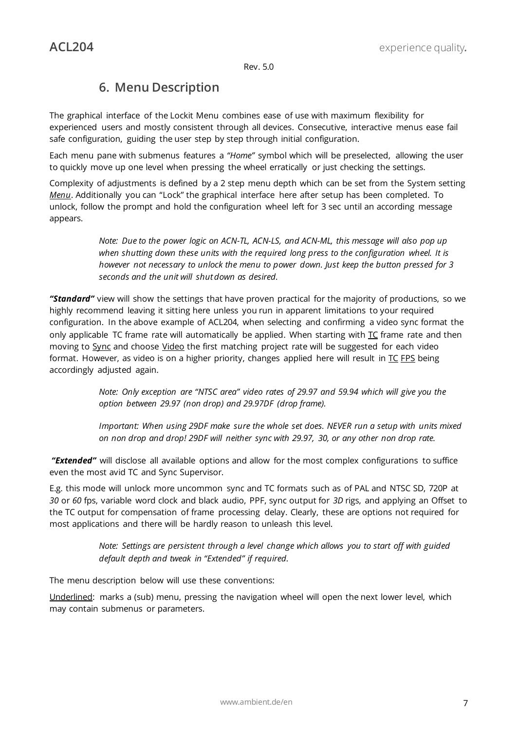## **6. Menu Description**

<span id="page-7-0"></span>The graphical interface of the Lockit Menu combines ease of use with maximum flexibility for experienced users and mostly consistent through all devices. Consecutive, interactive menus ease fail safe configuration, guiding the user step by step through initial configuration.

Each menu pane with submenus features a "Home" symbol which will be preselected, allowing the user to quickly move up one level when pressing the wheel erratically or just checking the settings.

Complexity of adjustments is defined by a 2 step menu depth which can be set from the System setting *Menu*. Additionally you can "Lock" the graphical interface here after setup has been completed. To unlock, follow the prompt and hold the configuration wheel left for 3 sec until an according message appears.

> *Note: Due to the power logic on ACN-TL, ACN-LS, and ACN-ML, this message will also pop up when shutting down these units with the required long press to the configuration wheel. It is however not necessary to unlock the menu to power down. Just keep the button pressed for 3 seconds and the unit will shut down as desired.*

*ȊStandardȋ* view will show the settings that have proven practical for the majority of productions, so we highly recommend leaving it sitting here unless you run in apparent limitations to your required configuration. In the above example of ACL204, when selecting and confirming a video sync format the only applicable TC frame rate will automatically be applied. When starting with TC frame rate and then moving to Sync and choose Video the first matching project rate will be suggested for each video format. However, as video is on a higher priority, changes applied here will result in  $TC$  FPS being accordingly adjusted again.

> *Note: Only exception are ȊNTSC areaȋ video rates of 29.97 and 59.94 which will give you the option between 29.97 (non drop) and 29.97DF (drop frame).*

*Important: When using 29DF make sure the whole set does. NEVER run a setup with units mixed on non drop and drop! 29DF will neither sync with 29.97, 30, or any other non drop rate.* 

*ȊExtendedȋ* will disclose all available options and allow for the most complex configurations to suffice even the most avid TC and Sync Supervisor.

E.g. this mode will unlock more uncommon sync and TC formats such as of PAL and NTSC SD, 720P at *30* or *60* fps, variable word clock and black audio, PPF, sync output for *3D* rigs, and applying an Offset to the TC output for compensation of frame processing delay. Clearly, these are options not required for most applications and there will be hardly reason to unleash this level.

> *Note: Settings are persistent through a level change which allows you to start off with guided default depth and tweak in ȊExtendedȋ if required.*

The menu description below will use these conventions:

Underlined: marks a (sub) menu, pressing the navigation wheel will open the next lower level, which may contain submenus or parameters.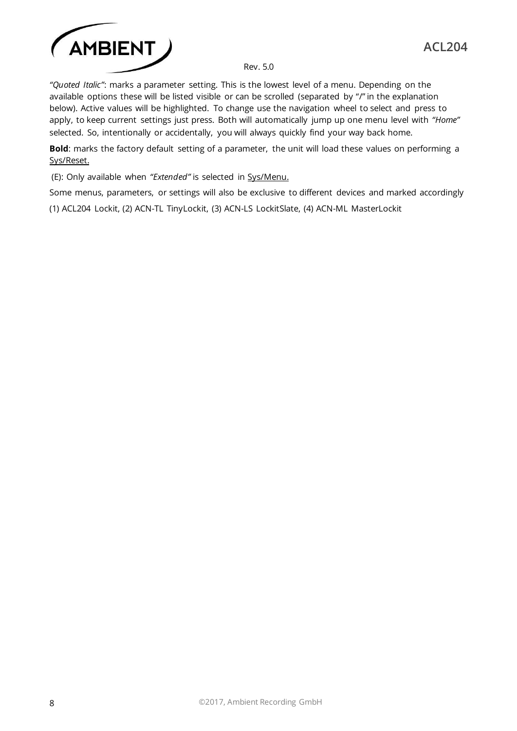

*ȊQuoted Italicȋ*: marks a parameter setting. This is the lowest level of a menu. Depending on the available options these will be listed visible or can be scrolled (separated by "/" in the explanation below). Active values will be highlighted. To change use the navigation wheel to select and press to apply, to keep current settings just press. Both will automatically jump up one menu level with "Home" selected. So, intentionally or accidentally, you will always quickly find your way back home.

**Bold**: marks the factory default setting of a parameter, the unit will load these values on performing a Sys/Reset.

(E): Only available when "Extended" is selected in Sys/Menu.

Some menus, parameters, or settings will also be exclusive to different devices and marked accordingly

(1) ACL204 Lockit, (2) ACN-TL TinyLockit, (3) ACN-LS LockitSlate, (4) ACN-ML MasterLockit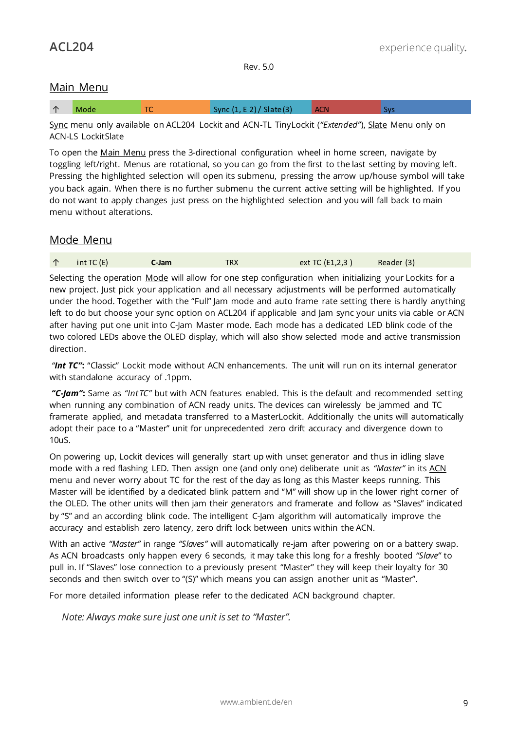## <span id="page-9-0"></span>Main Menu

Sync menu only available on ACL204 Lockit and ACN-TL TinyLockit (*ȊExtendedȋ*), Slate Menu only on ACN-LS LockitSlate

To open the Main Menu press the 3-directional configuration wheel in home screen, navigate by toggling left/right. Menus are rotational, so you can go from the first to the last setting by moving left. Pressing the highlighted selection will open its submenu, pressing the arrow up/house symbol will take you back again. When there is no further submenu the current active setting will be highlighted. If you do not want to apply changes just press on the highlighted selection and you will fall back to main menu without alterations.

## <span id="page-9-1"></span>Mode Menu

|  | int TC(E) | C-Jam | <b>TRX</b> | ext TC (E1,2,3) | Reader (3) |
|--|-----------|-------|------------|-----------------|------------|
|--|-----------|-------|------------|-----------------|------------|

Selecting the operation Mode will allow for one step configuration when initializing your Lockits for a new project. Just pick your application and all necessary adjustments will be performed automatically under the hood. Together with the "Full" Jam mode and auto frame rate setting there is hardly anything left to do but choose your sync option on ACL204 if applicable and Jam sync your units via cable or ACN after having put one unit into C-Jam Master mode. Each mode has a dedicated LED blink code of the two colored LEDs above the OLED display, which will also show selected mode and active transmission direction.

*ȊInt TCȋ***:** ȊClassicȋ Lockit mode without ACN enhancements. The unit will run on its internal generator with standalone accuracy of .1ppm.

*ȊC-Jamȋ***:** Same as *ȊInt TCȋ* but with ACN features enabled. This is the default and recommended setting when running any combination of ACN ready units. The devices can wirelessly be jammed and TC framerate applied, and metadata transferred to a MasterLockit. Additionally the units will automatically adopt their pace to a "Master" unit for unprecedented zero drift accuracy and divergence down to 10uS.

On powering up, Lockit devices will generally start up with unset generator and thus in idling slave mode with a red flashing LED. Then assign one (and only one) deliberate unit as "Master" in its ACN menu and never worry about TC for the rest of the day as long as this Master keeps running. This Master will be identified by a dedicated blink pattern and "M" will show up in the lower right corner of the OLED. The other units will then jam their generators and framerate and follow as "Slaves" indicated by "S" and an according blink code. The intelligent C-Jam algorithm will automatically improve the accuracy and establish zero latency, zero drift lock between units within the ACN.

With an active *"Master"* in range "Slaves" will automatically re-jam after powering on or a battery swap. As ACN broadcasts only happen every 6 seconds, it may take this long for a freshly booted *ȊSlaveȋ* to pull in. If "Slaves" lose connection to a previously present "Master" they will keep their loyalty for 30 seconds and then switch over to "(S)" which means you can assign another unit as "Master".

For more detailed information please refer to the dedicated ACN background chapter.

*Note: Always make sure just one unit is set to ȊMasterȋ.*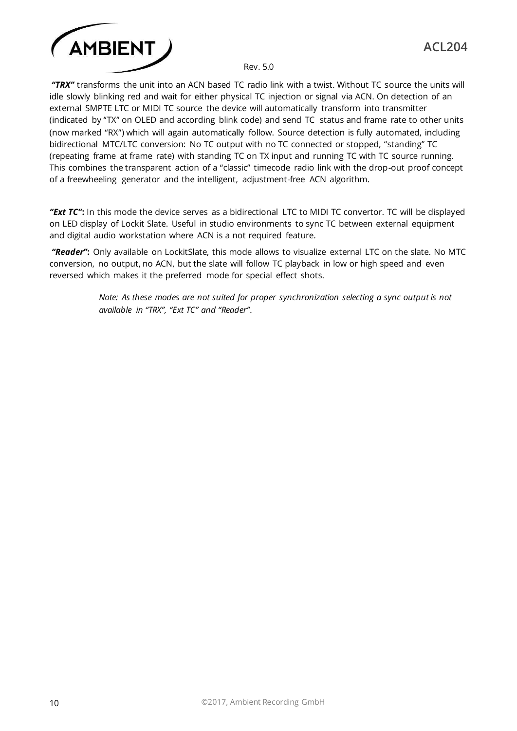

*ȊTRXȋ* transforms the unit into an ACN based TC radio link with a twist. Without TC source the units will idle slowly blinking red and wait for either physical TC injection or signal via ACN. On detection of an external SMPTE LTC or MIDI TC source the device will automatically transform into transmitter (indicated by "TX" on OLED and according blink code) and send TC status and frame rate to other units (now marked "RX") which will again automatically follow. Source detection is fully automated, including bidirectional MTC/LTC conversion: No TC output with no TC connected or stopped, "standing" TC (repeating frame at frame rate) with standing TC on TX input and running TC with TC source running. This combines the transparent action of a "classic" timecode radio link with the drop-out proof concept of a freewheeling generator and the intelligent, adjustment-free ACN algorithm.

*ȊExt TCȋ***:** In this mode the device serves as a bidirectional LTC to MIDI TC convertor. TC will be displayed on LED display of Lockit Slate. Useful in studio environments to sync TC between external equipment and digital audio workstation where ACN is a not required feature.

*ȊReaderȋ***:** Only available on LockitSlate, this mode allows to visualize external LTC on the slate. No MTC conversion, no output, no ACN, but the slate will follow TC playback in low or high speed and even reversed which makes it the preferred mode for special effect shots.

> *Note: As these modes are not suited for proper synchronization selecting a sync output is not available in ȊTRXȋ, ȊExt TCȋ and ȊReaderȋ.*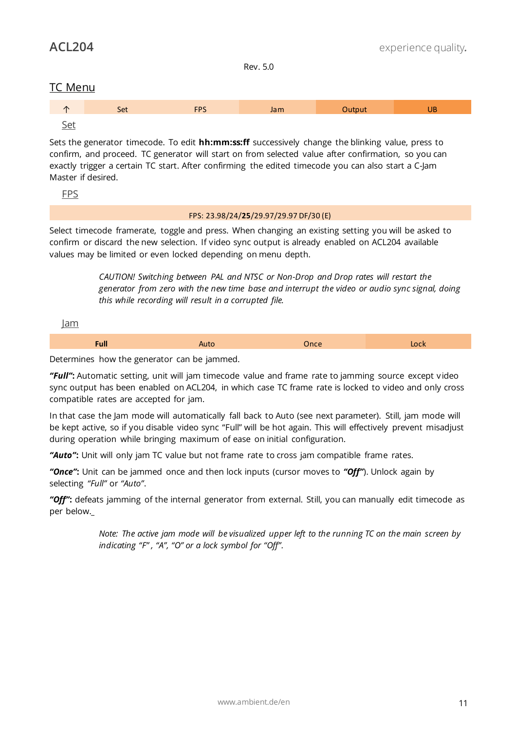## <span id="page-11-0"></span>TC Menu

<span id="page-11-1"></span>

Sets the generator timecode. To edit **hh:mm:ss:ff** successively change the blinking value, press to confirm, and proceed. TC generator will start on from selected value after confirmation, so you can exactly trigger a certain TC start. After confirming the edited timecode you can also start a C-Jam Master if desired.

<span id="page-11-2"></span>FPS

## FPS: 23.98/24/**25**/29.97/29.97 DF/30 (E)

Select timecode framerate, toggle and press. When changing an existing setting you will be asked to confirm or discard the new selection. If video sync output is already enabled on ACL204 available values may be limited or even locked depending on menu depth.

> *CAUTION! Switching between PAL and NTSC or Non-Drop and Drop rates will restart the generator from zero with the new time base and interrupt the video or audio sync signal, doing this while recording will result in a corrupted file.*

<span id="page-11-3"></span>Jam

**Full** Auto Once Lock

Determines how the generator can be jammed.

*ȊFullȋ***:** Automatic setting, unit will jam timecode value and frame rate to jamming source except video sync output has been enabled on ACL204, in which case TC frame rate is locked to video and only cross compatible rates are accepted for jam.

In that case the Jam mode will automatically fall back to Auto (see next parameter). Still, jam mode will be kept active, so if you disable video sync "Full" will be hot again. This will effectively prevent misadjust during operation while bringing maximum of ease on initial configuration.

*ȊAutoȋ***:** Unit will only jam TC value but not frame rate to cross jam compatible frame rates.

*ȊOnceȋ***:** Unit can be jammed once and then lock inputs (cursor moves to *ȊOffȋ*). Unlock again by selecting "Full" or "Auto".

"**Off":** defeats jamming of the internal generator from external. Still, you can manually edit timecode as per below.

> *Note: The active jam mode will be visualized upper left to the running TC on the main screen by indicating ȊFȋ , ȊAȋ, ȊOȋ or a lock symbol for ȊOffȋ.*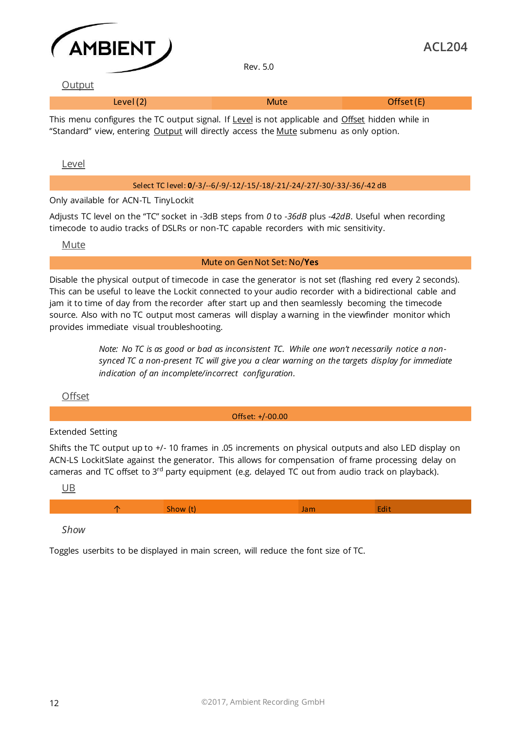

#### <span id="page-12-0"></span>**Output**

| Level $(2)$ | Mute | Offset (E) |
|-------------|------|------------|

This menu configures the TC output signal. If Level is not applicable and Offset hidden while in "Standard" view, entering Output will directly access the Mute submenu as only option.

<span id="page-12-1"></span>Level

#### Select TC level: **0**/-3/--6/-9/-12/-15/-18/-21/-24/-27/-30/-33/-36/-42 dB

Only available for ACN-TL TinyLockit

Adjusts TC level on the ȊTCȋ socket in -3dB steps from *0* to *-36dB* plus *-42dB*. Useful when recording timecode to audio tracks of DSLRs or non-TC capable recorders with mic sensitivity.

<span id="page-12-2"></span>Mute

#### Mute on Gen Not Set: No/**Yes**

Disable the physical output of timecode in case the generator is not set (flashing red every 2 seconds). This can be useful to leave the Lockit connected to your audio recorder with a bidirectional cable and jam it to time of day from the recorder after start up and then seamlessly becoming the timecode source. Also with no TC output most cameras will display a warning in the viewfinder monitor which provides immediate visual troubleshooting.

> *Note: No TC is as good or bad as inconsistent TC. While one won't necessarily notice a nonsynced TC a non-present TC will give you a clear warning on the targets display for immediate indication of an incomplete/incorrect configuration.*

<span id="page-12-3"></span>**Offset** 

Offset: +/-00.00

## Extended Setting

Shifts the TC output up to +/- 10 frames in .05 increments on physical outputs and also LED display on ACN-LS LockitSlate against the generator. This allows for compensation of frame processing delay on cameras and TC offset to 3<sup>rd</sup> party equipment (e.g. delayed TC out from audio track on playback).

<span id="page-12-4"></span>UB

|--|--|--|--|--|--|

*Show* 

Toggles userbits to be displayed in main screen, will reduce the font size of TC.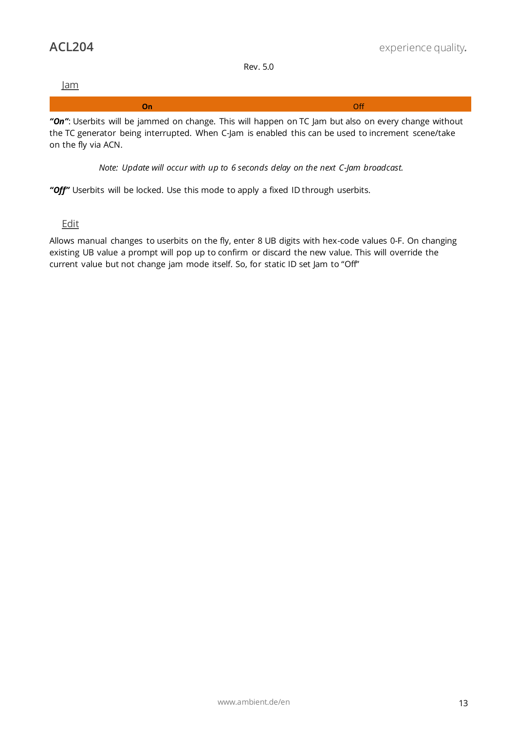<span id="page-13-0"></span>

*Note: Update will occur with up to 6 seconds delay on the next C-Jam broadcast.* 

"Off" Userbits will be locked. Use this mode to apply a fixed ID through userbits.

<span id="page-13-1"></span>Edit

on the fly via ACN.

Allows manual changes to userbits on the fly, enter 8 UB digits with hex-code values 0-F. On changing existing UB value a prompt will pop up to confirm or discard the new value. This will override the current value but not change jam mode itself. So, for static ID set Jam to "Off"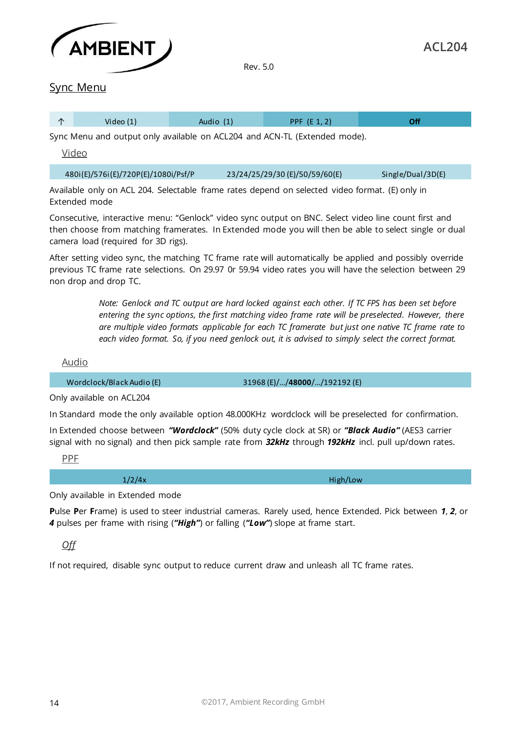

<span id="page-14-0"></span>

| $\sqrt{2}$ |             |           |                    | nf |
|------------|-------------|-----------|--------------------|----|
|            | Video $(1)$ | Audio (1) | PPF $(F 1 2)$<br>. |    |

<span id="page-14-1"></span>Sync Menu and output only available on ACL204 and ACN-TL (Extended mode).

Video

| 480i(E)/576i(E)/720P(E)/1080i/Psf/P | 23/24/25/29/30 (E)/50/59/60(E) | Single/Dual/3D(E) |
|-------------------------------------|--------------------------------|-------------------|
|-------------------------------------|--------------------------------|-------------------|

Available only on ACL 204. Selectable frame rates depend on selected video format. (E) only in Extended mode

Consecutive, interactive menu: "Genlock" video sync output on BNC. Select video line count first and then choose from matching framerates. In Extended mode you will then be able to select single or dual camera load (required for 3D rigs).

After setting video sync, the matching TC frame rate will automatically be applied and possibly override previous TC frame rate selections. On 29.97 0r 59.94 video rates you will have the selection between 29 non drop and drop TC.

> *Note: Genlock and TC output are hard locked against each other. If TC FPS has been set before entering the sync options, the first matching video frame rate will be preselected. However, there are multiple video formats applicable for each TC framerate but just one native TC frame rate to each video format. So, if you need genlock out, it is advised to simply select the correct format.*

<span id="page-14-2"></span>Audio

Wordclock/Black Audio (E)  $31968$  (E)/.../**48000**/.../192192 (E)

Only available on ACL204

In Standard mode the only available option 48.000KHz wordclock will be preselected for confirmation.

In Extended choose between *ȊWordclockȋ* (50% duty cycle clock at SR) or *ȊBlack Audioȋ* (AES3 carrier signal with no signal) and then pick sample rate from *32kHz* through *192kHz* incl. pull up/down rates.

<span id="page-14-3"></span>PPF

1/2/4x High/Low

**ACL204**

Only available in Extended mode

**P**ulse **P**er **F**rame) is used to steer industrial cameras. Rarely used, hence Extended. Pick between *1*, *2*, or 4 pulses per frame with rising ("High") or falling ("Low") slope at frame start.

*Off* 

If not required, disable sync output to reduce current draw and unleash all TC frame rates.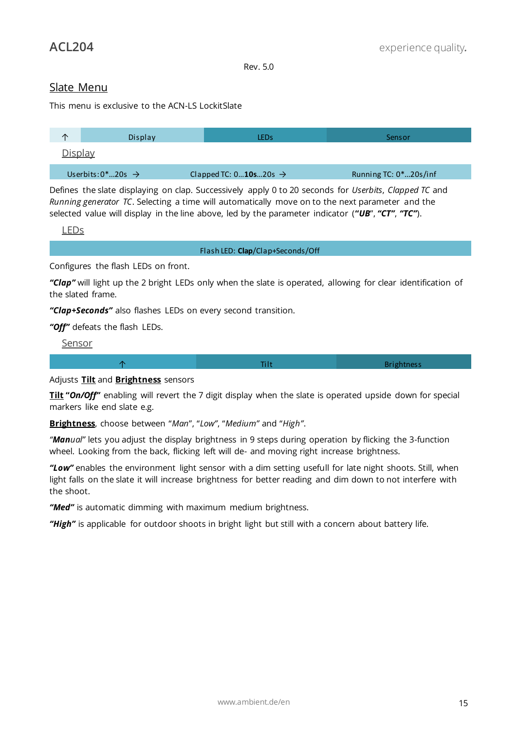## <span id="page-15-0"></span>Slate Menu

This menu is exclusive to the ACN-LS LockitSlate

<span id="page-15-1"></span>

| ∧              | Display                           | LEDs                              | Sensor                |
|----------------|-----------------------------------|-----------------------------------|-----------------------|
| <u>Display</u> |                                   |                                   |                       |
|                | Userbits: $0^*$ 20s $\rightarrow$ | Clapped TC: $010s20s \rightarrow$ | Running TC: 0*20s/inf |

Defines the slate displaying on clap. Successively apply 0 to 20 seconds for *Userbits*, *Clapped TC* and *Running generator TC*. Selecting a time will automatically move on to the next parameter and the selected value will display in the line above, led by the parameter indicator ("UB", "CT", "TC").

<span id="page-15-2"></span>LEDs

Flash LED: **Clap**/Clap+Seconds/Off

Configures the flash LEDs on front.

*ȊClapȋ* will light up the 2 bright LEDs only when the slate is operated, allowing for clear identification of the slated frame.

*ȊClap+Secondsȋ* also flashes LEDs on every second transition.

<span id="page-15-3"></span>*ȊOffȋ* defeats the flash LEDs.

Sensor



## Adjusts **Tilt** and **Brightness** sensors

**Tilt "On/Off"** enabling will revert the 7 digit display when the slate is operated upside down for special markers like end slate e.g.

Brightness, choose between "Man", "Low", "Medium" and "High".

*ȊManualȋ* lets you adjust the display brightness in 9 steps during operation by flicking the 3-function wheel. Looking from the back, flicking left will de- and moving right increase brightness.

*ȊLowȋ* enables the environment light sensor with a dim setting usefull for late night shoots. Still, when light falls on the slate it will increase brightness for better reading and dim down to not interfere with the shoot.

"Med" is automatic dimming with maximum medium brightness.

"High" is applicable for outdoor shoots in bright light but still with a concern about battery life.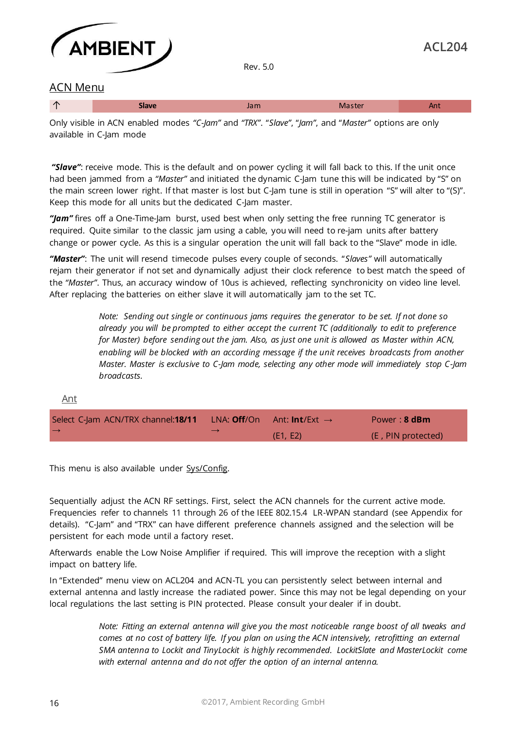

## <span id="page-16-0"></span>ACN Menu

| $\overline{\phantom{a}}$ | $\cdots$ |  |
|--------------------------|----------|--|
|                          |          |  |

Only visible in ACN enabled modes *ȊC-Jamȋ* and *ȊTRXȋ*. Ȋ*Slaveȋ*, Ȋ*Jamȋ*, and Ȋ*Masterȋ* options are only available in C-Jam mode

*ȊSlaveȋ*: receive mode. This is the default and on power cycling it will fall back to this. If the unit once had been jammed from a "Master" and initiated the dynamic C-Jam tune this will be indicated by "S" on the main screen lower right. If that master is lost but C-Jam tune is still in operation "S" will alter to "(S)". Keep this mode for all units but the dedicated C-Jam master.

*ȊJamȋ* fires off a One-Time-Jam burst, used best when only setting the free running TC generator is required. Quite similar to the classic jam using a cable, you will need to re-jam units after battery change or power cycle. As this is a singular operation the unit will fall back to the "Slave" mode in idle.

*ȊMasterȋ*: The unit will resend timecode pulses every couple of seconds. Ȋ*Slavesȋ* will automatically rejam their generator if not set and dynamically adjust their clock reference to best match the speed of the "Master". Thus, an accuracy window of 10us is achieved, reflecting synchronicity on video line level. After replacing the batteries on either slave it will automatically jam to the set TC.

> *Note: Sending out single or continuous jams requires the generator to be set. If not done so already you will be prompted to either accept the current TC (additionally to edit to preference for Master) before sending out the jam. Also, as just one unit is allowed as Master within ACN, enabling will be blocked with an according message if the unit receives broadcasts from another Master. Master is exclusive to C-Jam mode, selecting any other mode will immediately stop C-Jam broadcasts.*

#### <span id="page-16-1"></span>Ant

| Select C-Jam ACN/TRX channel: <b>18/11</b> | LNA: <b>Off</b> /On Ant: <b>Int</b> /Ext $\rightarrow$ | Power: $8$ dBm     |
|--------------------------------------------|--------------------------------------------------------|--------------------|
| $\rightarrow$                              | (E1, E2)                                               | (E, PIN protected) |

This menu is also available under Sys/Config.

Sequentially adjust the ACN RF settings. First, select the ACN channels for the current active mode. Frequencies refer to channels 11 through 26 of the IEEE 802.15.4 LR-WPAN standard (see Appendix for details). "C-Jam" and "TRX" can have different preference channels assigned and the selection will be persistent for each mode until a factory reset.

Afterwards enable the Low Noise Amplifier if required. This will improve the reception with a slight impact on battery life.

In "Extended" menu view on ACL204 and ACN-TL you can persistently select between internal and external antenna and lastly increase the radiated power. Since this may not be legal depending on your local regulations the last setting is PIN protected. Please consult your dealer if in doubt.

> *Note: Fitting an external antenna will give you the most noticeable range boost of all tweaks and comes at no cost of battery life. If you plan on using the ACN intensively, retrofitting an external SMA antenna to Lockit and TinyLockit is highly recommended. LockitSlate and MasterLockit come with external antenna and do not offer the option of an internal antenna.*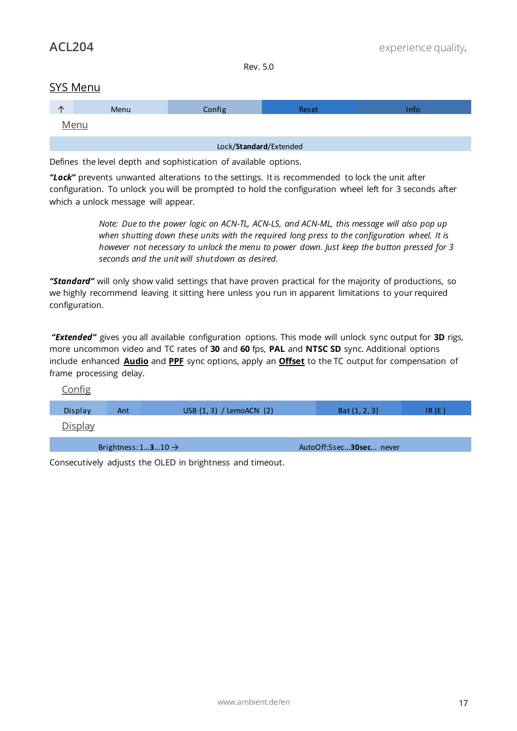## <span id="page-17-0"></span>SYS Menu

<span id="page-17-1"></span>

| ⌒                      | Menu | Config | <b>Reset</b> | Info |
|------------------------|------|--------|--------------|------|
| <u>Menu</u>            |      |        |              |      |
| Lock/Standard/Extended |      |        |              |      |

Defines the level depth and sophistication of available options.

*ȊLockȋ* prevents unwanted alterations to the settings. It is recommended to lock the unit after configuration. To unlock you will be prompted to hold the configuration wheel left for 3 seconds after which a unlock message will appear.

> *Note: Due to the power logic on ACN-TL, ACN-LS, and ACN-ML, this message will also pop up when shutting down these units with the required long press to the configuration wheel. It is however not necessary to unlock the menu to power down. Just keep the button pressed for 3 seconds and the unit will shut down as desired.*

*ȊStandardȋ* will only show valid settings that have proven practical for the majority of productions, so we highly recommend leaving it sitting here unless you run in apparent limitations to your required configuration.

*ȊExtendedȋ* gives you all available configuration options. This mode will unlock sync output for **3D** rigs, more uncommon video and TC rates of **30** and **60** fps, **PAL** and **NTSC SD** sync. Additional options include enhanced **Audio** and **PPF** sync options, apply an **Offset** to the TC output for compensation of frame processing delay.

<span id="page-17-3"></span><span id="page-17-2"></span>

| <u>Config</u>  |                                |                          |                         |       |
|----------------|--------------------------------|--------------------------|-------------------------|-------|
| Display        | Ant                            | USB (1, 3) / LemoACN (2) | Bat $(1, 2, 3)$         | IR(E) |
| <b>Display</b> |                                |                          |                         |       |
|                | Brightness: $1310 \rightarrow$ |                          | AutoOff:5sec30sec never |       |

Consecutively adjusts the OLED in brightness and timeout.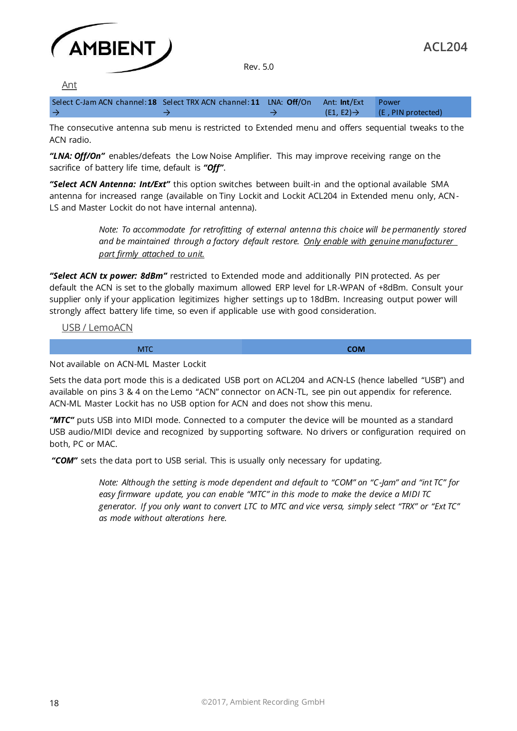

<span id="page-18-0"></span>Ant

| Select C-Jam ACN channel: 18 Select TRX ACN channel: 11 LNA: Off/On Ant: Int/Ext Power |  |                                           |
|----------------------------------------------------------------------------------------|--|-------------------------------------------|
| $\rightarrow$                                                                          |  | $(E1, E2) \rightarrow$ (E, PIN protected) |

The consecutive antenna sub menu is restricted to Extended menu and offers sequential tweaks to the ACN radio.

*ȊLNA: Off/Onȋ* enables/defeats the Low Noise Amplifier. This may improve receiving range on the sacrifice of battery life time, default is "Off".

*ȊSelect ACN Antenna: Int/Extȋ* this option switches between built-in and the optional available SMA antenna for increased range (available on Tiny Lockit and Lockit ACL204 in Extended menu only, ACN-LS and Master Lockit do not have internal antenna).

> *Note: To accommodate for retrofitting of external antenna this choice will be permanently stored and be maintained through a factory default restore. Only enable with genuine manufacturer part firmly attached to unit.*

*ȊSelect ACN tx power: 8dBmȋ* restricted to Extended mode and additionally PIN protected. As per default the ACN is set to the globally maximum allowed ERP level for LR-WPAN of +8dBm. Consult your supplier only if your application legitimizes higher settings up to 18dBm. Increasing output power will strongly affect battery life time, so even if applicable use with good consideration.

<span id="page-18-1"></span>USB / LemoACN

MTC **COM** 

Not available on ACN-ML Master Lockit

Sets the data port mode this is a dedicated USB port on ACL204 and ACN-LS (hence labelled "USB") and available on pins 3 & 4 on the Lemo "ACN" connector on ACN-TL, see pin out appendix for reference. ACN-ML Master Lockit has no USB option for ACN and does not show this menu.

*ȊMTCȋ* puts USB into MIDI mode. Connected to a computer the device will be mounted as a standard USB audio/MIDI device and recognized by supporting software. No drivers or configuration required on both, PC or MAC.

*ȊCOMȋ* sets the data port to USB serial. This is usually only necessary for updating.

*Note: Although the setting is mode dependent and default to ȊCOMȋ on ȊC-Jamȋ and Ȋint TCȋ for easy firmware update, you can enable ȊMTCȋ in this mode to make the device a MIDI TC generator. If you only want to convert LTC to MTC and vice versa, simply select ȊTRXȋ or ȊExt TCȋ as mode without alterations here.*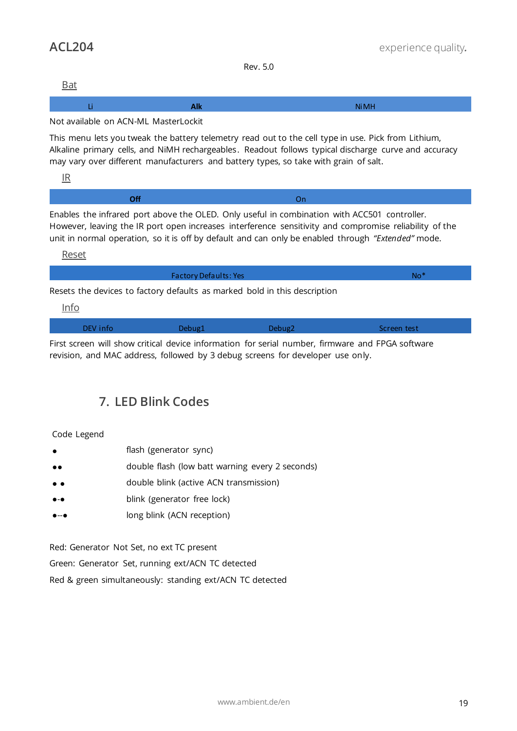<span id="page-19-0"></span>Bat

|  | . |
|--|---|
|  |   |

#### Not available on ACN-ML MasterLockit

This menu lets you tweak the battery telemetry read out to the cell type in use. Pick from Lithium, Alkaline primary cells, and NiMH rechargeables. Readout follows typical discharge curve and accuracy may vary over different manufacturers and battery types, so take with grain of salt.

<span id="page-19-1"></span>IR

| Enables the infrared port above the OLED. Only useful in combination with ACC501 controller |
|---------------------------------------------------------------------------------------------|

Enables the infrared port above the OLED. Only useful in combination with ACC501 controller. However, leaving the IR port open increases interference sensitivity and compromise reliability of the unit in normal operation, so it is off by default and can only be enabled through "Extended" mode.

<span id="page-19-2"></span>Reset

Factory Defaults: Yes No\*

<span id="page-19-3"></span>Resets the devices to factory defaults as marked bold in this description

Info

| DEV info | Debug1 | Debug2 | Screen test |
|----------|--------|--------|-------------|
|          |        |        |             |

<span id="page-19-4"></span>First screen will show critical device information for serial number, firmware and FPGA software revision, and MAC address, followed by 3 debug screens for developer use only.

## **7. LED Blink Codes**

## Code Legend

- flash (generator sync)
- ●● double flash (low batt warning every 2 seconds)
- ● double blink (active ACN transmission)
- blink (generator free lock)
- long blink (ACN reception)

Red: Generator Not Set, no ext TC present Green: Generator Set, running ext/ACN TC detected Red & green simultaneously: standing ext/ACN TC detected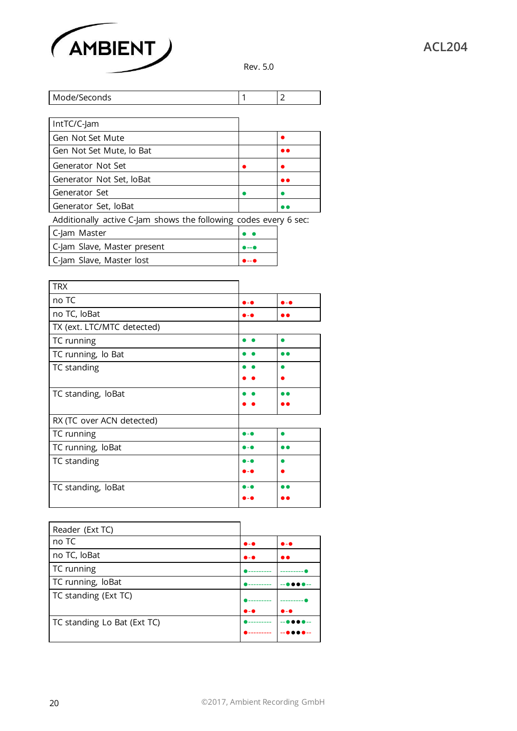

| Mode/Seconds                                                     |      | 2         |
|------------------------------------------------------------------|------|-----------|
|                                                                  |      |           |
| IntTC/C-Jam                                                      |      |           |
| Gen Not Set Mute                                                 |      |           |
| Gen Not Set Mute, lo Bat                                         |      | $\bullet$ |
| Generator Not Set                                                |      |           |
| Generator Not Set, IoBat                                         |      | <b></b>   |
| Generator Set                                                    |      |           |
| Generator Set, loBat                                             |      |           |
| Additionally active C-Jam shows the following codes every 6 sec: |      |           |
| C-Jam Master                                                     |      |           |
| C-Jam Slave, Master present                                      | ه  ه |           |
| C-Jam Slave, Master lost                                         |      |           |

| <b>TRX</b>                 |       |              |
|----------------------------|-------|--------------|
| no TC                      |       | 6 - <b>6</b> |
| no TC, loBat               |       |              |
| TX (ext. LTC/MTC detected) |       |              |
| TC running                 |       | ●            |
| TC running, lo Bat         |       |              |
| TC standing                |       |              |
|                            |       |              |
| TC standing, loBat         |       |              |
|                            |       |              |
| RX (TC over ACN detected)  |       |              |
| TC running                 | 0 - Q |              |
| TC running, loBat          | D – O | . .          |
| TC standing                | D – 6 |              |
|                            |       |              |
| TC standing, loBat         |       |              |
|                            |       |              |

| Reader (Ext TC)             |                       |                       |
|-----------------------------|-----------------------|-----------------------|
| no TC                       | $\bullet$ - $\bullet$ | $\bullet$ - $\bullet$ |
| no TC, loBat                | $\bullet$ - $\bullet$ |                       |
| TC running                  |                       |                       |
| TC running, loBat           |                       |                       |
| TC standing (Ext TC)        |                       |                       |
|                             | $\bullet$ - $\bullet$ | $\bullet$ - $\bullet$ |
| TC standing Lo Bat (Ext TC) |                       |                       |
|                             |                       |                       |
|                             |                       |                       |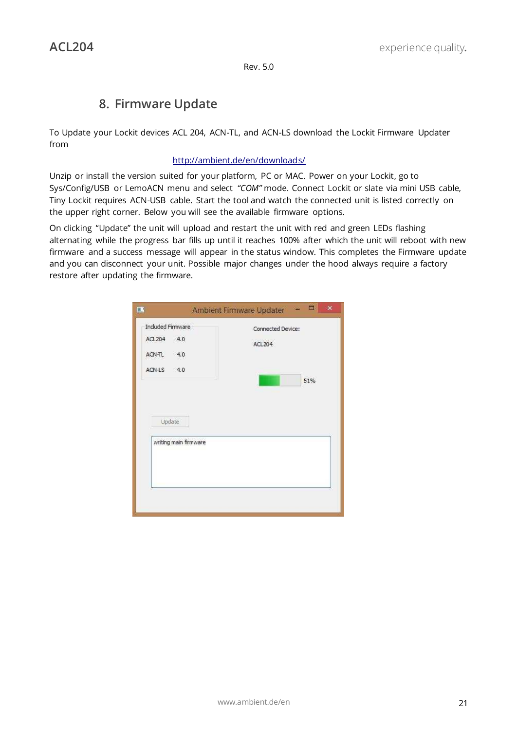## **8. Firmware Update**

<span id="page-21-0"></span>To Update your Lockit devices ACL 204, ACN-TL, and ACN-LS download the Lockit Firmware Updater from

## <http://ambient.de/en/downloads/>

Unzip or install the version suited for your platform, PC or MAC. Power on your Lockit, go to Sys/Config/USB or LemoACN menu and select "COM" mode. Connect Lockit or slate via mini USB cable, Tiny Lockit requires ACN-USB cable. Start the tool and watch the connected unit is listed correctly on the upper right corner. Below you will see the available firmware options.

On clicking "Update" the unit will upload and restart the unit with red and green LEDs flashing alternating while the progress bar fills up until it reaches 100% after which the unit will reboot with new firmware and a success message will appear in the status window. This completes the Firmware update and you can disconnect your unit. Possible major changes under the hood always require a factory restore after updating the firmware.

| EN <sub>1</sub>                                            | 画<br>$\mathbf{x}$<br>Ambient Firmware Updater |
|------------------------------------------------------------|-----------------------------------------------|
| Included Firmware<br><b>ACL204</b><br>4.0<br>ACN-TL<br>4.0 | Connected Device:<br>ACL204                   |
| ACN-LS<br>$-4.0$<br>Update                                 | 51%                                           |
| writing main firmware                                      |                                               |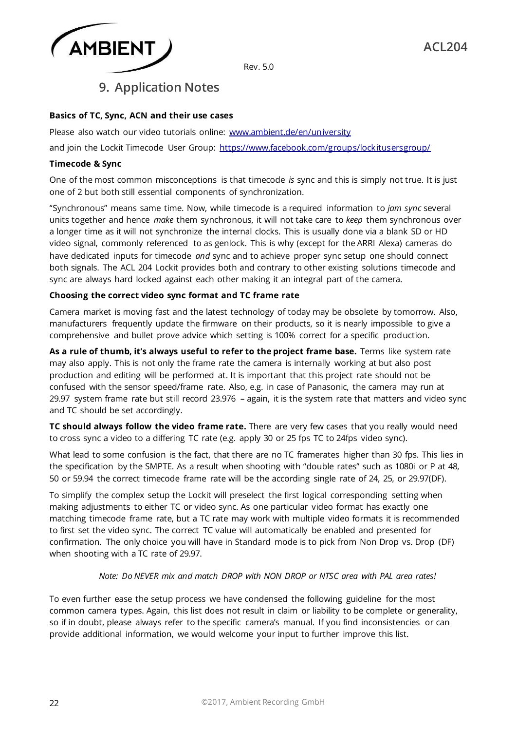

## **9. Application Notes**

## <span id="page-22-0"></span>**Basics of TC, Sync, ACN and their use cases**

Please also watch our video tutorials online: www.ambient.de/en/university

and join the Lockit Timecode User Group:<https://www.facebook.com/groups/lockitusersgroup/>

#### **Timecode & Sync**

One of the most common misconceptions is that timecode *is* sync and this is simply not true. It is just one of 2 but both still essential components of synchronization.

ȊSynchronousȋ means same time. Now, while timecode is a required information to *jam sync* several units together and hence *make* them synchronous, it will not take care to *keep* them synchronous over a longer time as it will not synchronize the internal clocks. This is usually done via a blank SD or HD video signal, commonly referenced to as genlock. This is why (except for the ARRI Alexa) cameras do have dedicated inputs for timecode *and* sync and to achieve proper sync setup one should connect both signals. The ACL 204 Lockit provides both and contrary to other existing solutions timecode and sync are always hard locked against each other making it an integral part of the camera.

#### **Choosing the correct video sync format and TC frame rate**

Camera market is moving fast and the latest technology of today may be obsolete by tomorrow. Also, manufacturers frequently update the firmware on their products, so it is nearly impossible to give a comprehensive and bullet prove advice which setting is 100% correct for a specific production.

**As a rule of thumb, it's always useful to refer to the project frame base.** Terms like system rate may also apply. This is not only the frame rate the camera is internally working at but also post production and editing will be performed at. It is important that this project rate should not be confused with the sensor speed/frame rate. Also, e.g. in case of Panasonic, the camera may run at 29.97 system frame rate but still record 23.976 – again, it is the system rate that matters and video sync and TC should be set accordingly.

**TC should always follow the video frame rate.** There are very few cases that you really would need to cross sync a video to a differing TC rate (e.g. apply 30 or 25 fps TC to 24fps video sync).

What lead to some confusion is the fact, that there are no TC framerates higher than 30 fps. This lies in the specification by the SMPTE. As a result when shooting with "double rates" such as 1080i or P at 48, 50 or 59.94 the correct timecode frame rate will be the according single rate of 24, 25, or 29.97(DF).

To simplify the complex setup the Lockit will preselect the first logical corresponding setting when making adjustments to either TC or video sync. As one particular video format has exactly one matching timecode frame rate, but a TC rate may work with multiple video formats it is recommended to first set the video sync. The correct TC value will automatically be enabled and presented for confirmation. The only choice you will have in Standard mode is to pick from Non Drop vs. Drop (DF) when shooting with a TC rate of 29.97.

## *Note: Do NEVER mix and match DROP with NON DROP or NTSC area with PAL area rates!*

To even further ease the setup process we have condensed the following guideline for the most common camera types. Again, this list does not result in claim or liability to be complete or generality, so if in doubt, please always refer to the specific camera's manual. If you find inconsistencies or can provide additional information, we would welcome your input to further improve this list.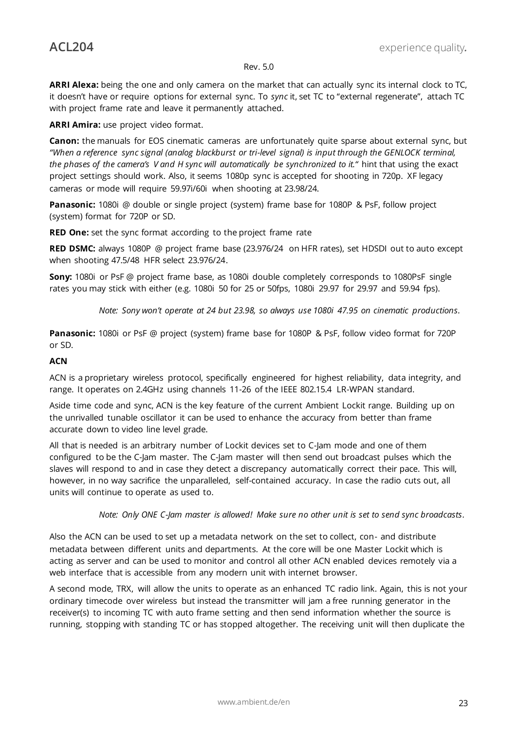**ARRI Alexa:** being the one and only camera on the market that can actually sync its internal clock to TC, it doesn't have or require options for external sync. To *sync* it, set TC to "external regenerate", attach TC with project frame rate and leave it permanently attached.

**ARRI Amira:** use project video format.

**Canon:** the manuals for EOS cinematic cameras are unfortunately quite sparse about external sync, but *ȊWhen a reference sync signal (analog blackburst or tri-level signal) is input through the GENLOCK terminal, the phases of the camera's V and H sync will automatically be synchronized to it.<sup>"</sup> hint that using the exact* project settings should work. Also, it seems 1080p sync is accepted for shooting in 720p. XF legacy cameras or mode will require 59.97i/60i when shooting at 23.98/24.

**Panasonic:** 1080i @ double or single project (system) frame base for 1080P & PsF, follow project (system) format for 720P or SD.

**RED One:** set the sync format according to the project frame rate

**RED DSMC:** always 1080P @ project frame base (23.976/24 on HFR rates), set HDSDI out to auto except when shooting 47.5/48 HFR select 23.976/24.

**Sony:** 1080i or PsF @ project frame base, as 1080i double completely corresponds to 1080PsF single rates you may stick with either (e.g. 1080i 50 for 25 or 50fps, 1080i 29.97 for 29.97 and 59.94 fps).

*Note: Sony won't operate at 24 but 23.98, so always use 1080i 47.95 on cinematic productions.* 

**Panasonic:** 1080i or PsF @ project (system) frame base for 1080P & PsF, follow video format for 720P or SD.

#### **ACN**

ACN is a proprietary wireless protocol, specifically engineered for highest reliability, data integrity, and range. It operates on 2.4GHz using channels 11-26 of the IEEE 802.15.4 LR-WPAN standard.

Aside time code and sync, ACN is the key feature of the current Ambient Lockit range. Building up on the unrivalled tunable oscillator it can be used to enhance the accuracy from better than frame accurate down to video line level grade.

All that is needed is an arbitrary number of Lockit devices set to C-Jam mode and one of them configured to be the C-Jam master. The C-Jam master will then send out broadcast pulses which the slaves will respond to and in case they detect a discrepancy automatically correct their pace. This will, however, in no way sacrifice the unparalleled, self-contained accuracy. In case the radio cuts out, all units will continue to operate as used to.

*Note: Only ONE C-Jam master is allowed! Make sure no other unit is set to send sync broadcasts.* 

Also the ACN can be used to set up a metadata network on the set to collect, con- and distribute metadata between different units and departments. At the core will be one Master Lockit which is acting as server and can be used to monitor and control all other ACN enabled devices remotely via a web interface that is accessible from any modern unit with internet browser.

A second mode, TRX, will allow the units to operate as an enhanced TC radio link. Again, this is not your ordinary timecode over wireless but instead the transmitter will jam a free running generator in the receiver(s) to incoming TC with auto frame setting and then send information whether the source is running, stopping with standing TC or has stopped altogether. The receiving unit will then duplicate the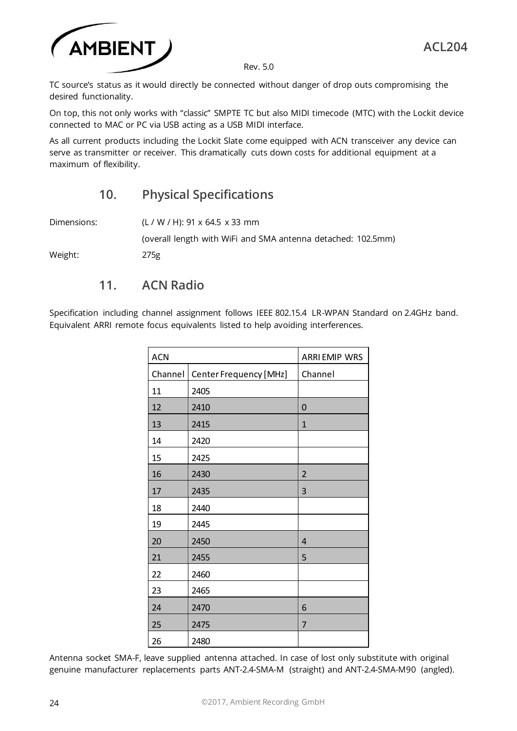

TC source's status as it would directly be connected without danger of drop outs compromising the desired functionality.

On top, this not only works with "classic" SMPTE TC but also MIDI timecode (MTC) with the Lockit device connected to MAC or PC via USB acting as a USB MIDI interface.

<span id="page-24-0"></span>As all current products including the Lockit Slate come equipped with ACN transceiver any device can serve as transmitter or receiver. This dramatically cuts down costs for additional equipment at a maximum of flexibility.

## **10. Physical Specifications**

Dimensions: (L / W / H): 91 x 64.5 x 33 mm (overall length with WiFi and SMA antenna detached: 102.5mm)

<span id="page-24-1"></span>Weight: 275g

## **11. ACN Radio**

Specification including channel assignment follows IEEE 802.15.4 LR-WPAN Standard on 2.4GHz band. Equivalent ARRI remote focus equivalents listed to help avoiding interferences.

| <b>ACN</b> |                        | <b>ARRI EMIP WRS</b> |
|------------|------------------------|----------------------|
| Channel    | Center Frequency [MHz] | Channel              |
| 11         | 2405                   |                      |
| 12         | 2410                   | 0                    |
| 13         | 2415                   | $\mathbf{1}$         |
| 14         | 2420                   |                      |
| 15         | 2425                   |                      |
| 16         | 2430                   | $\overline{2}$       |
| 17         | 2435                   | 3                    |
| 18         | 2440                   |                      |
| 19         | 2445                   |                      |
| 20         | 2450                   | $\overline{4}$       |
| 21         | 2455                   | 5                    |
| 22         | 2460                   |                      |
| 23         | 2465                   |                      |
| 24         | 2470                   | 6                    |
| 25         | 2475                   | $\overline{7}$       |
| 26         | 2480                   |                      |

Antenna socket SMA-F, leave supplied antenna attached. In case of lost only substitute with original genuine manufacturer replacements parts ANT-2.4-SMA-M (straight) and ANT-2.4-SMA-M90 (angled).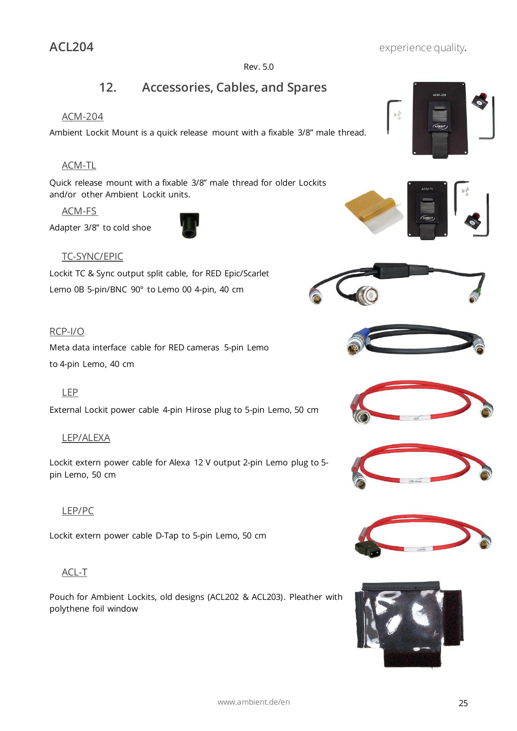## <span id="page-25-0"></span>**12. Accessories, Cables, and Spares**

#### <span id="page-25-1"></span>ACM-204

Ambient Lockit Mount is a quick release mount with a fixable 3/8" male thread.

## <span id="page-25-2"></span>ACM-TL

Quick release mount with a fixable 3/8" male thread for older Lockits and/or other Ambient Lockit units.

<span id="page-25-3"></span>ACM-FS

Adapter 3/8ȋ to cold shoe



## <span id="page-25-4"></span>TC-SYNC/EPIC

Lockit TC & Sync output split cable, for RED Epic/Scarlet Lemo 0B 5-pin/BNC 90° to Lemo 00 4-pin, 40 cm

## <span id="page-25-5"></span>RCP-I/O

Meta data interface cable for RED cameras 5-pin Lemo to 4-pin Lemo, 40 cm

## <span id="page-25-6"></span>LEP

External Lockit power cable 4-pin Hirose plug to 5-pin Lemo, 50 cm

## <span id="page-25-7"></span>LEP/ALEXA

Lockit extern power cable for Alexa 12 V output 2-pin Lemo plug to 5 pin Lemo, 50 cm

## <span id="page-25-8"></span>LEP/PC

Lockit extern power cable D-Tap to 5-pin Lemo, 50 cm

## <span id="page-25-9"></span>ACL-T

Pouch for Ambient Lockits, old designs (ACL202 & ACL203). Pleather with polythene foil window